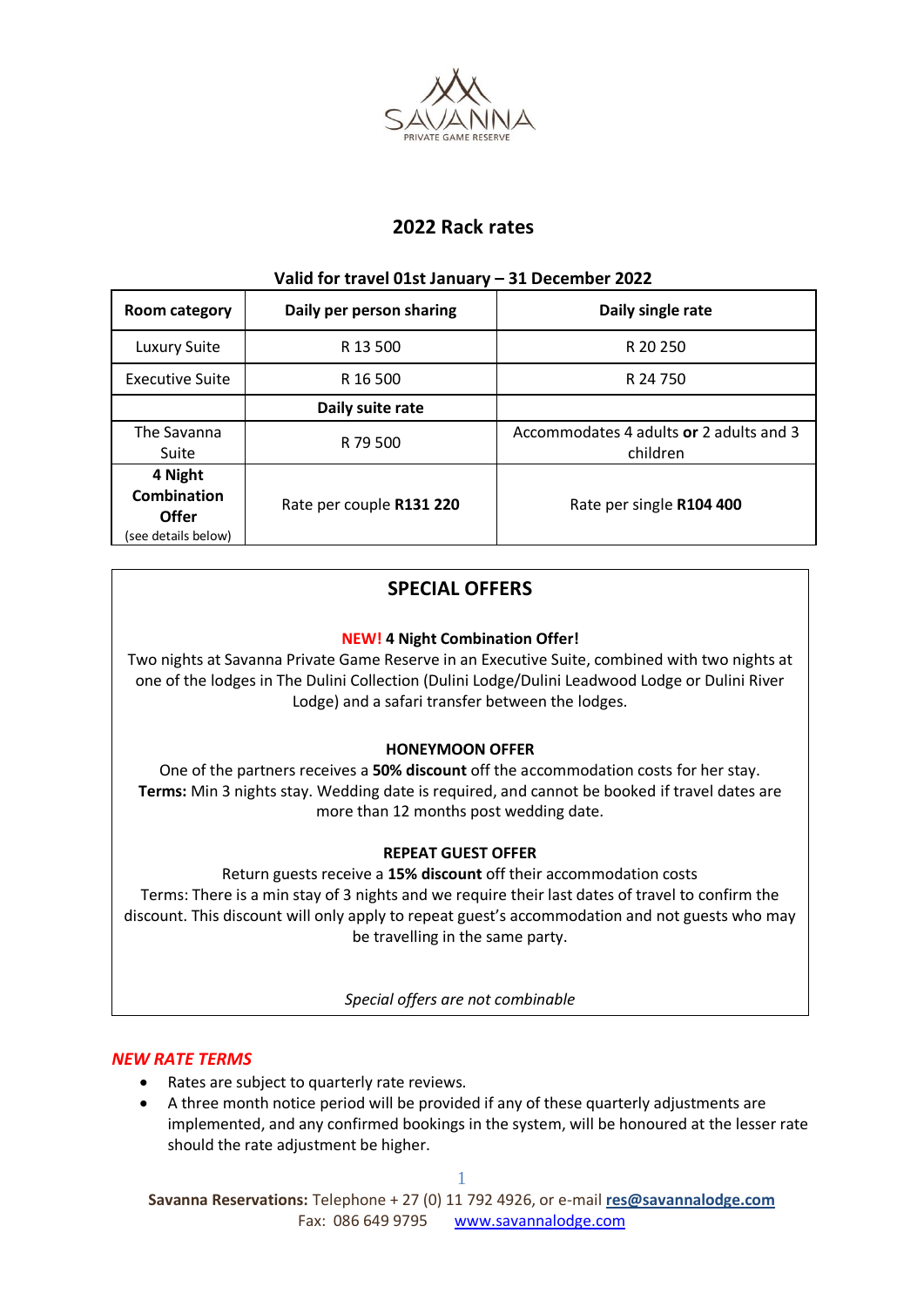

# **2022 Rack rates**

# **Valid for travel 01st January – 31 December 2022**

| Room category                                                 | Daily per person sharing | Daily single rate                                   |
|---------------------------------------------------------------|--------------------------|-----------------------------------------------------|
| Luxury Suite                                                  | R 13 500                 | R 20 250                                            |
| <b>Executive Suite</b>                                        | R 16 500                 | R 24 750                                            |
|                                                               | Daily suite rate         |                                                     |
| The Savanna<br>Suite                                          | R 79 500                 | Accommodates 4 adults or 2 adults and 3<br>children |
| 4 Night<br><b>Combination</b><br>Offer<br>(see details below) | Rate per couple R131 220 | Rate per single R104 400                            |

# **SPECIAL OFFERS**

# **NEW! 4 Night Combination Offer!**

Two nights at Savanna Private Game Reserve in an Executive Suite, combined with two nights at one of the lodges in The Dulini Collection (Dulini Lodge/Dulini Leadwood Lodge or Dulini River Lodge) and a safari transfer between the lodges.

# **HONEYMOON OFFER**

One of the partners receives a **50% discount** off the accommodation costs for her stay. **Terms:** Min 3 nights stay. Wedding date is required, and cannot be booked if travel dates are more than 12 months post wedding date.

# **REPEAT GUEST OFFER**

Return guests receive a **15% discount** off their accommodation costs Terms: There is a min stay of 3 nights and we require their last dates of travel to confirm the discount. This discount will only apply to repeat guest's accommodation and not guests who may be travelling in the same party.

*Special offers are not combinable*

# *NEW RATE TERMS*

- Rates are subject to quarterly rate reviews.
- A three month notice period will be provided if any of these quarterly adjustments are implemented, and any confirmed bookings in the system, will be honoured at the lesser rate should the rate adjustment be higher.

**Savanna Reservations:** Telephone + 27 (0) 11 792 4926, or e-mail **[res@savannalodge.com](mailto:res@savannalodge.com)** Fax: 086 649 9795 [www.savannalodge.com](http://www.savannalodge.com/)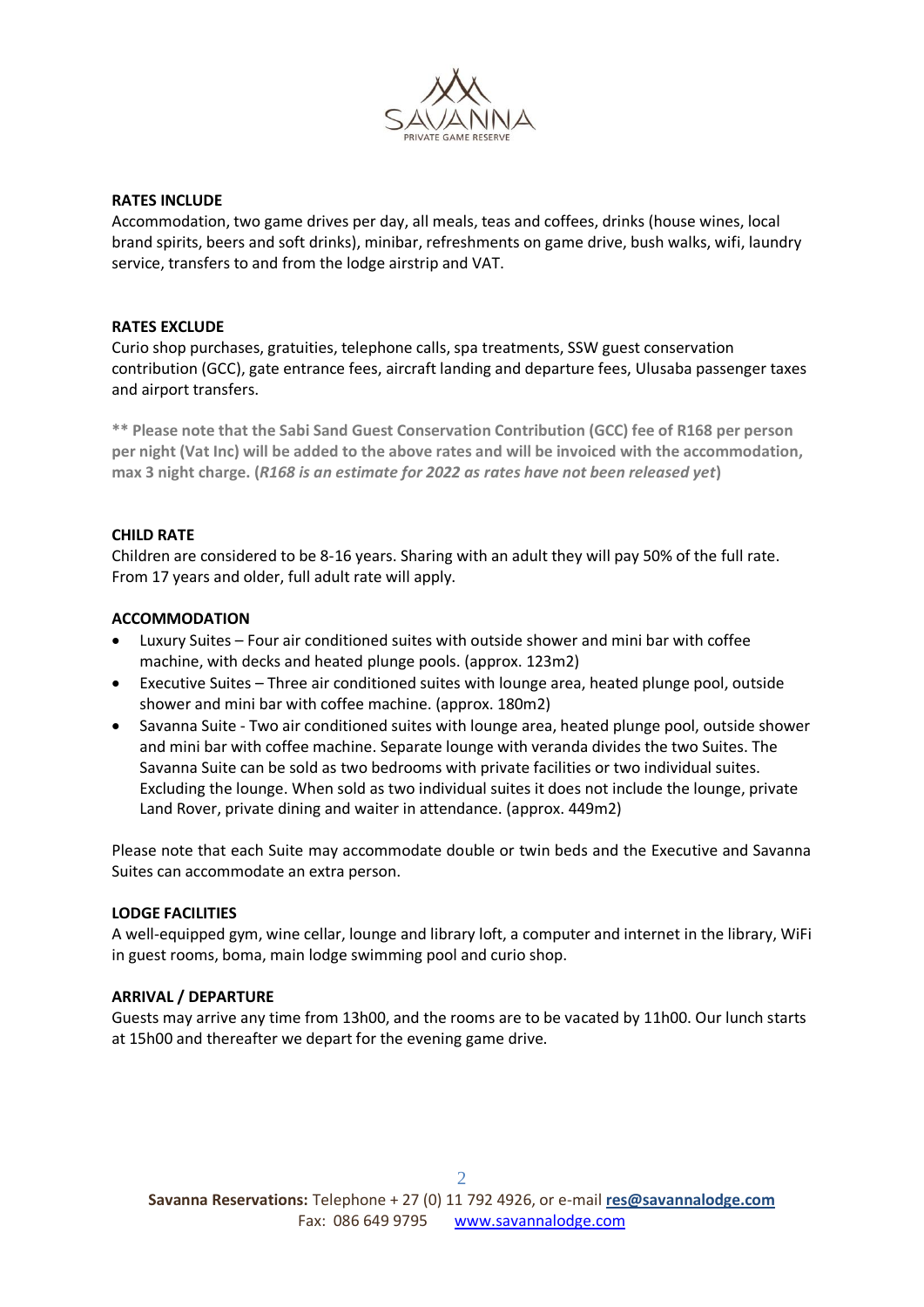

#### **RATES INCLUDE**

Accommodation, two game drives per day, all meals, teas and coffees, drinks (house wines, local brand spirits, beers and soft drinks), minibar, refreshments on game drive, bush walks, wifi, laundry service, transfers to and from the lodge airstrip and VAT.

#### **RATES EXCLUDE**

Curio shop purchases, gratuities, telephone calls, spa treatments, SSW guest conservation contribution (GCC), gate entrance fees, aircraft landing and departure fees, Ulusaba passenger taxes and airport transfers.

**\*\* Please note that the Sabi Sand Guest Conservation Contribution (GCC) fee of R168 per person per night (Vat Inc) will be added to the above rates and will be invoiced with the accommodation, max 3 night charge. (***R168 is an estimate for 2022 as rates have not been released yet***)**

#### **CHILD RATE**

Children are considered to be 8-16 years. Sharing with an adult they will pay 50% of the full rate. From 17 years and older, full adult rate will apply.

#### **ACCOMMODATION**

- Luxury Suites Four air conditioned suites with outside shower and mini bar with coffee machine, with decks and heated plunge pools. (approx. 123m2)
- Executive Suites Three air conditioned suites with lounge area, heated plunge pool, outside shower and mini bar with coffee machine. (approx. 180m2)
- Savanna Suite Two air conditioned suites with lounge area, heated plunge pool, outside shower and mini bar with coffee machine. Separate lounge with veranda divides the two Suites. The Savanna Suite can be sold as two bedrooms with private facilities or two individual suites. Excluding the lounge. When sold as two individual suites it does not include the lounge, private Land Rover, private dining and waiter in attendance. (approx. 449m2)

Please note that each Suite may accommodate double or twin beds and the Executive and Savanna Suites can accommodate an extra person.

#### **LODGE FACILITIES**

A well-equipped gym, wine cellar, lounge and library loft, a computer and internet in the library, WiFi in guest rooms, boma, main lodge swimming pool and curio shop.

#### **ARRIVAL / DEPARTURE**

Guests may arrive any time from 13h00, and the rooms are to be vacated by 11h00. Our lunch starts at 15h00 and thereafter we depart for the evening game drive.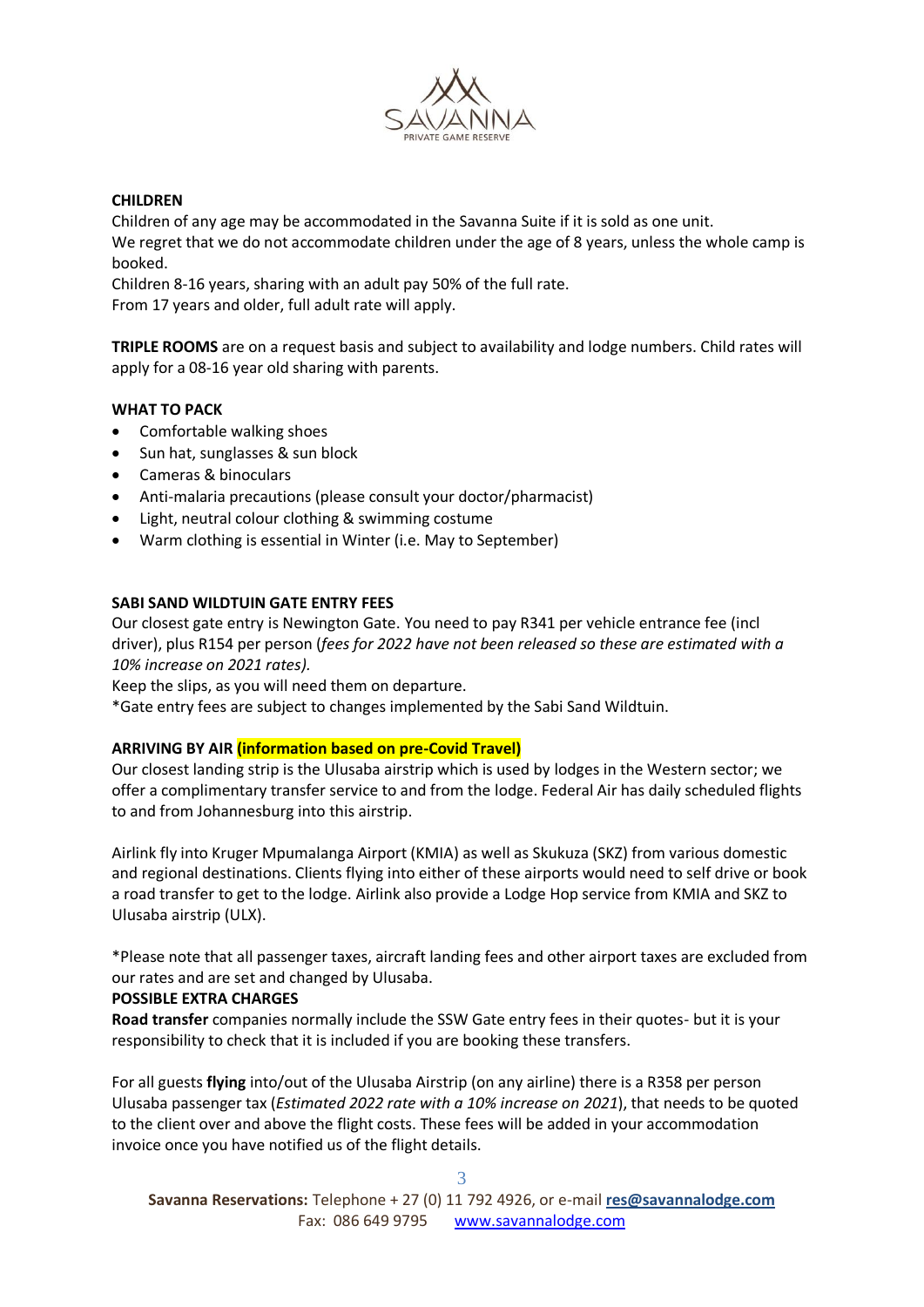

### **CHILDREN**

Children of any age may be accommodated in the Savanna Suite if it is sold as one unit. We regret that we do not accommodate children under the age of 8 years, unless the whole camp is booked.

Children 8-16 years, sharing with an adult pay 50% of the full rate. From 17 years and older, full adult rate will apply.

**TRIPLE ROOMS** are on a request basis and subject to availability and lodge numbers. Child rates will apply for a 08-16 year old sharing with parents.

### **WHAT TO PACK**

- Comfortable walking shoes
- Sun hat, sunglasses & sun block
- Cameras & binoculars
- Anti-malaria precautions (please consult your doctor/pharmacist)
- Light, neutral colour clothing & swimming costume
- Warm clothing is essential in Winter (i.e. May to September)

### **SABI SAND WILDTUIN GATE ENTRY FEES**

Our closest gate entry is Newington Gate. You need to pay R341 per vehicle entrance fee (incl driver), plus R154 per person (*fees for 2022 have not been released so these are estimated with a 10% increase on 2021 rates).* 

Keep the slips, as you will need them on departure.

\*Gate entry fees are subject to changes implemented by the Sabi Sand Wildtuin.

# **ARRIVING BY AIR (information based on pre-Covid Travel)**

Our closest landing strip is the Ulusaba airstrip which is used by lodges in the Western sector; we offer a complimentary transfer service to and from the lodge. Federal Air has daily scheduled flights to and from Johannesburg into this airstrip.

Airlink fly into Kruger Mpumalanga Airport (KMIA) as well as Skukuza (SKZ) from various domestic and regional destinations. Clients flying into either of these airports would need to self drive or book a road transfer to get to the lodge. Airlink also provide a Lodge Hop service from KMIA and SKZ to Ulusaba airstrip (ULX).

\*Please note that all passenger taxes, aircraft landing fees and other airport taxes are excluded from our rates and are set and changed by Ulusaba.

# **POSSIBLE EXTRA CHARGES**

**Road transfer** companies normally include the SSW Gate entry fees in their quotes- but it is your responsibility to check that it is included if you are booking these transfers.

For all guests **flying** into/out of the Ulusaba Airstrip (on any airline) there is a R358 per person Ulusaba passenger tax (*Estimated 2022 rate with a 10% increase on 2021*), that needs to be quoted to the client over and above the flight costs. These fees will be added in your accommodation invoice once you have notified us of the flight details.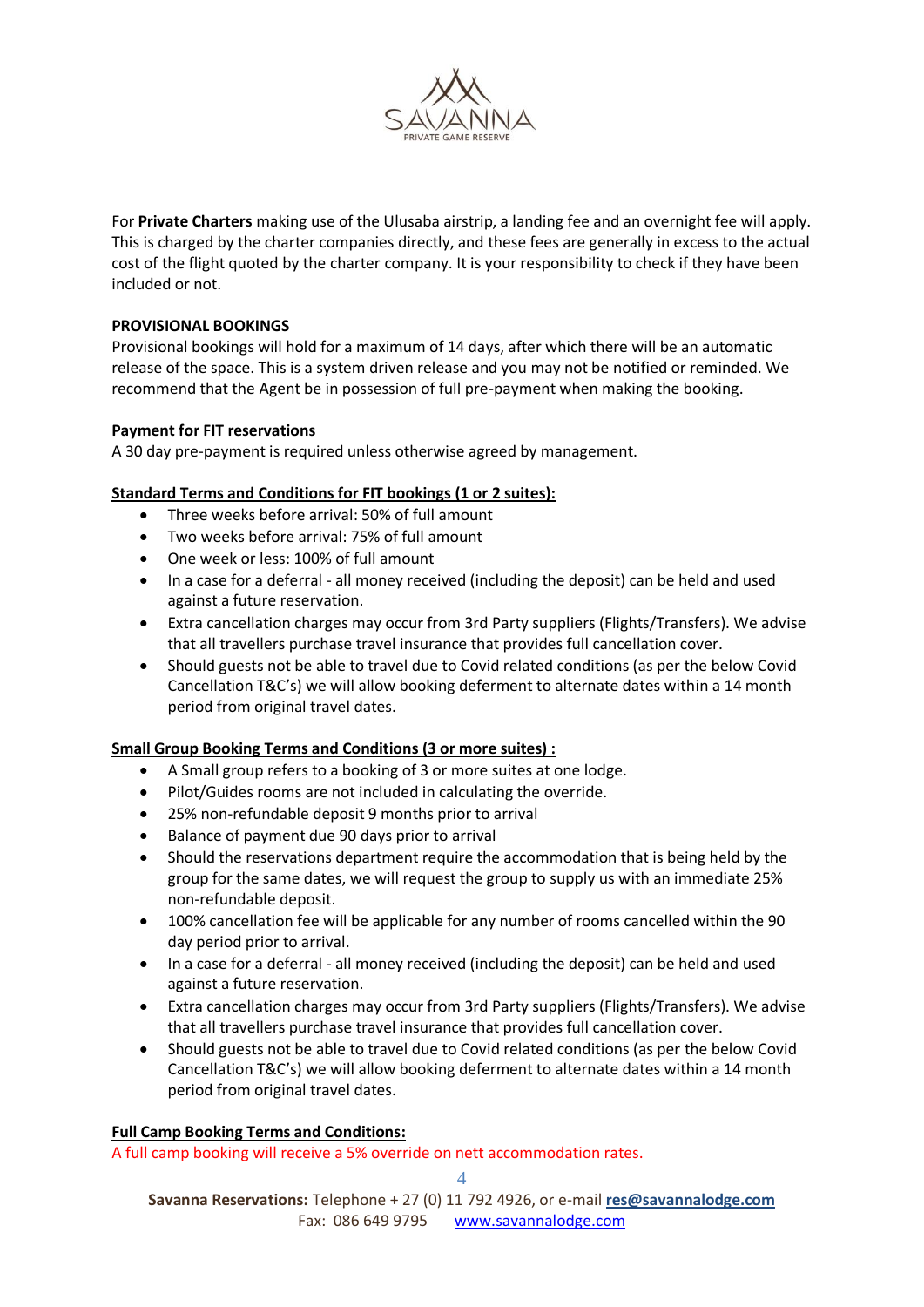

For **Private Charters** making use of the Ulusaba airstrip, a landing fee and an overnight fee will apply. This is charged by the charter companies directly, and these fees are generally in excess to the actual cost of the flight quoted by the charter company. It is your responsibility to check if they have been included or not.

# **PROVISIONAL BOOKINGS**

Provisional bookings will hold for a maximum of 14 days, after which there will be an automatic release of the space. This is a system driven release and you may not be notified or reminded. We recommend that the Agent be in possession of full pre-payment when making the booking.

### **Payment for FIT reservations**

A 30 day pre-payment is required unless otherwise agreed by management.

# **Standard Terms and Conditions for FIT bookings (1 or 2 suites):**

- Three weeks before arrival: 50% of full amount
- Two weeks before arrival: 75% of full amount
- One week or less: 100% of full amount
- In a case for a deferral all money received (including the deposit) can be held and used against a future reservation.
- Extra cancellation charges may occur from 3rd Party suppliers (Flights/Transfers). We advise that all travellers purchase travel insurance that provides full cancellation cover.
- Should guests not be able to travel due to Covid related conditions (as per the below Covid Cancellation T&C's) we will allow booking deferment to alternate dates within a 14 month period from original travel dates.

#### **Small Group Booking Terms and Conditions (3 or more suites) :**

- A Small group refers to a booking of 3 or more suites at one lodge.
- Pilot/Guides rooms are not included in calculating the override.
- 25% non-refundable deposit 9 months prior to arrival
- Balance of payment due 90 days prior to arrival
- Should the reservations department require the accommodation that is being held by the group for the same dates, we will request the group to supply us with an immediate 25% non-refundable deposit.
- 100% cancellation fee will be applicable for any number of rooms cancelled within the 90 day period prior to arrival.
- In a case for a deferral all money received (including the deposit) can be held and used against a future reservation.
- Extra cancellation charges may occur from 3rd Party suppliers (Flights/Transfers). We advise that all travellers purchase travel insurance that provides full cancellation cover.
- Should guests not be able to travel due to Covid related conditions (as per the below Covid Cancellation T&C's) we will allow booking deferment to alternate dates within a 14 month period from original travel dates.

#### **Full Camp Booking Terms and Conditions:**

A full camp booking will receive a 5% override on nett accommodation rates.

4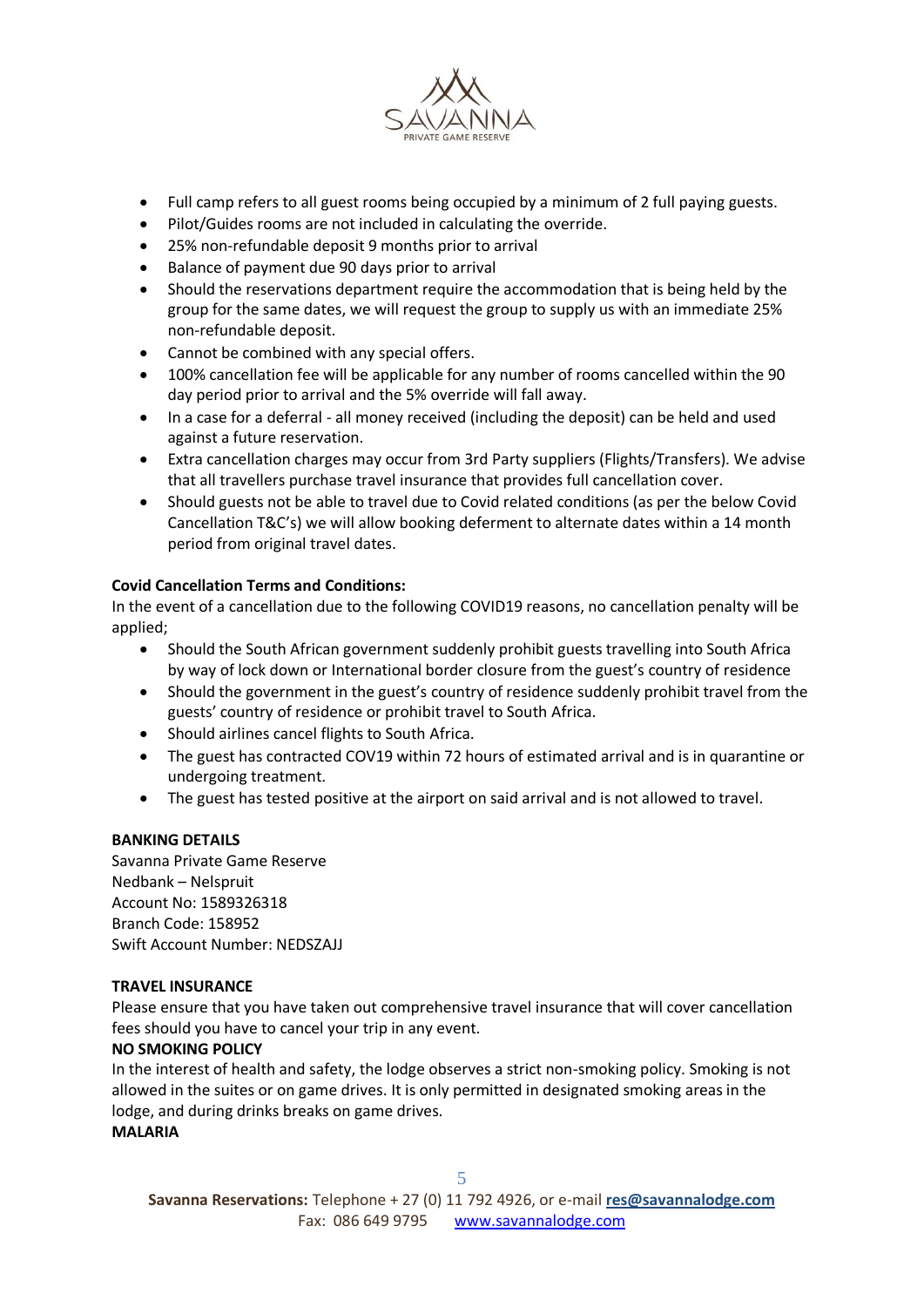

- Full camp refers to all guest rooms being occupied by a minimum of 2 full paying guests.
- Pilot/Guides rooms are not included in calculating the override.
- 25% non-refundable deposit 9 months prior to arrival
- Balance of payment due 90 days prior to arrival
- Should the reservations department require the accommodation that is being held by the group for the same dates, we will request the group to supply us with an immediate 25% non-refundable deposit.
- Cannot be combined with any special offers.
- 100% cancellation fee will be applicable for any number of rooms cancelled within the 90 day period prior to arrival and the 5% override will fall away.
- In a case for a deferral all money received (including the deposit) can be held and used against a future reservation.
- Extra cancellation charges may occur from 3rd Party suppliers (Flights/Transfers). We advise that all travellers purchase travel insurance that provides full cancellation cover.
- Should guests not be able to travel due to Covid related conditions (as per the below Covid Cancellation T&C's) we will allow booking deferment to alternate dates within a 14 month period from original travel dates.

# **Covid Cancellation Terms and Conditions:**

In the event of a cancellation due to the following COVID19 reasons, no cancellation penalty will be applied;

- Should the South African government suddenly prohibit guests travelling into South Africa by way of lock down or International border closure from the guest's country of residence
- Should the government in the guest's country of residence suddenly prohibit travel from the guests' country of residence or prohibit travel to South Africa.
- Should airlines cancel flights to South Africa.
- The guest has contracted COV19 within 72 hours of estimated arrival and is in quarantine or undergoing treatment.
- The guest has tested positive at the airport on said arrival and is not allowed to travel.

# **BANKING DETAILS**

Savanna Private Game Reserve Nedbank – Nelspruit Account No: 1589326318 Branch Code: 158952 Swift Account Number: NEDSZAJJ

# **TRAVEL INSURANCE**

Please ensure that you have taken out comprehensive travel insurance that will cover cancellation fees should you have to cancel your trip in any event.

# **NO SMOKING POLICY**

In the interest of health and safety, the lodge observes a strict non-smoking policy. Smoking is not allowed in the suites or on game drives. It is only permitted in designated smoking areas in the lodge, and during drinks breaks on game drives. **MALARIA**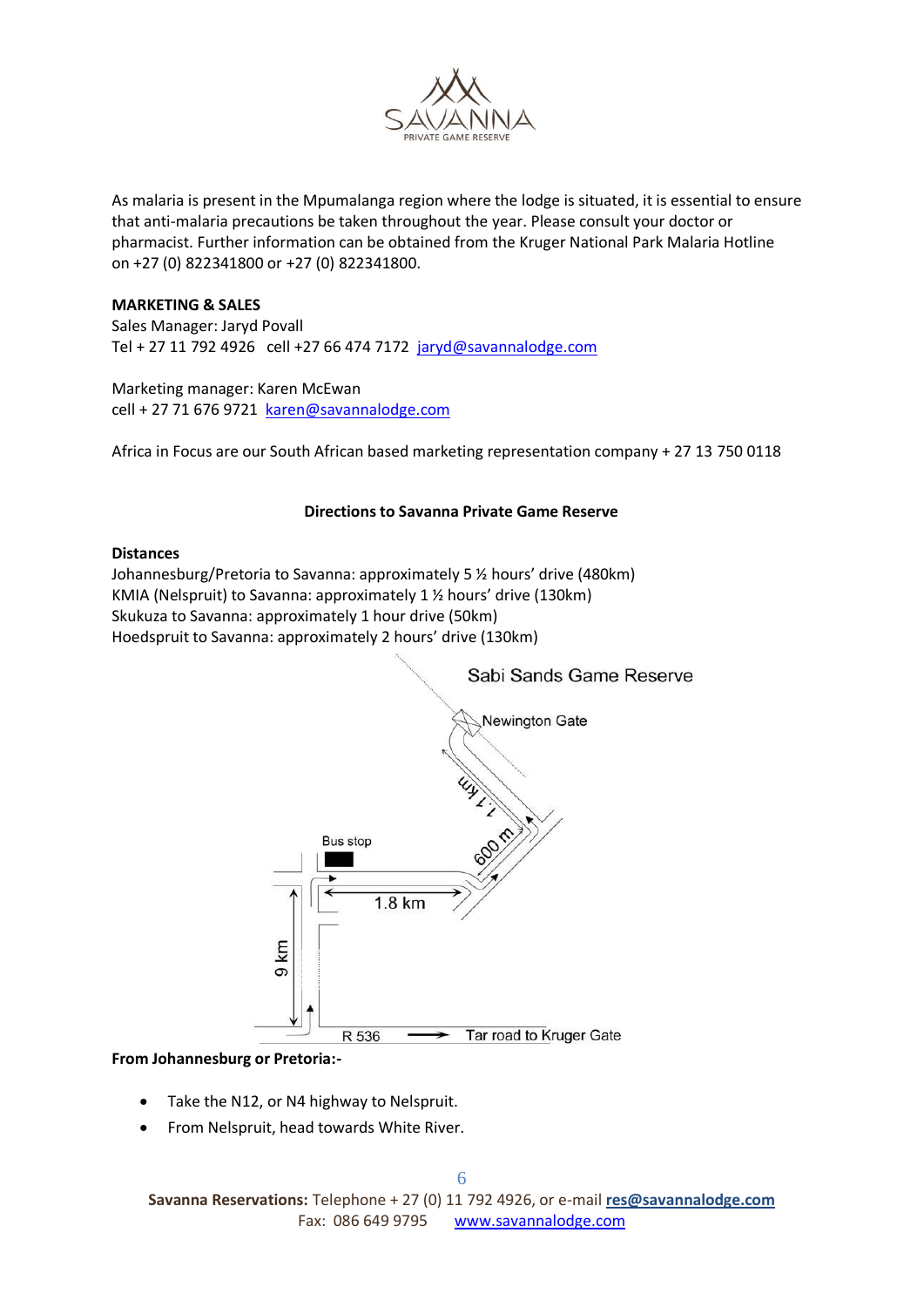

As malaria is present in the Mpumalanga region where the lodge is situated, it is essential to ensure that anti-malaria precautions be taken throughout the year. Please consult your doctor or pharmacist. Further information can be obtained from the Kruger National Park Malaria Hotline on +27 (0) 822341800 or +27 (0) 822341800.

#### **MARKETING & SALES**

Sales Manager: Jaryd Povall Tel + 27 11 792 4926 cell +27 66 474 7172 [jaryd@savannalodge.com](mailto:jaryd@savannalodge.com)

Marketing manager: Karen McEwan cell + 27 71 676 9721 [karen@savannalodge.com](mailto:karen@savannalodge.com)

Africa in Focus are our South African based marketing representation company + 27 13 750 0118

#### **Directions to Savanna Private Game Reserve**

#### **Distances**

Johannesburg/Pretoria to Savanna: approximately 5 ½ hours' drive (480km) KMIA (Nelspruit) to Savanna: approximately 1 ½ hours' drive (130km) Skukuza to Savanna: approximately 1 hour drive (50km) Hoedspruit to Savanna: approximately 2 hours' drive (130km)



#### **From Johannesburg or Pretoria:-**

- Take the N12, or N4 highway to Nelspruit.
- From Nelspruit, head towards White River.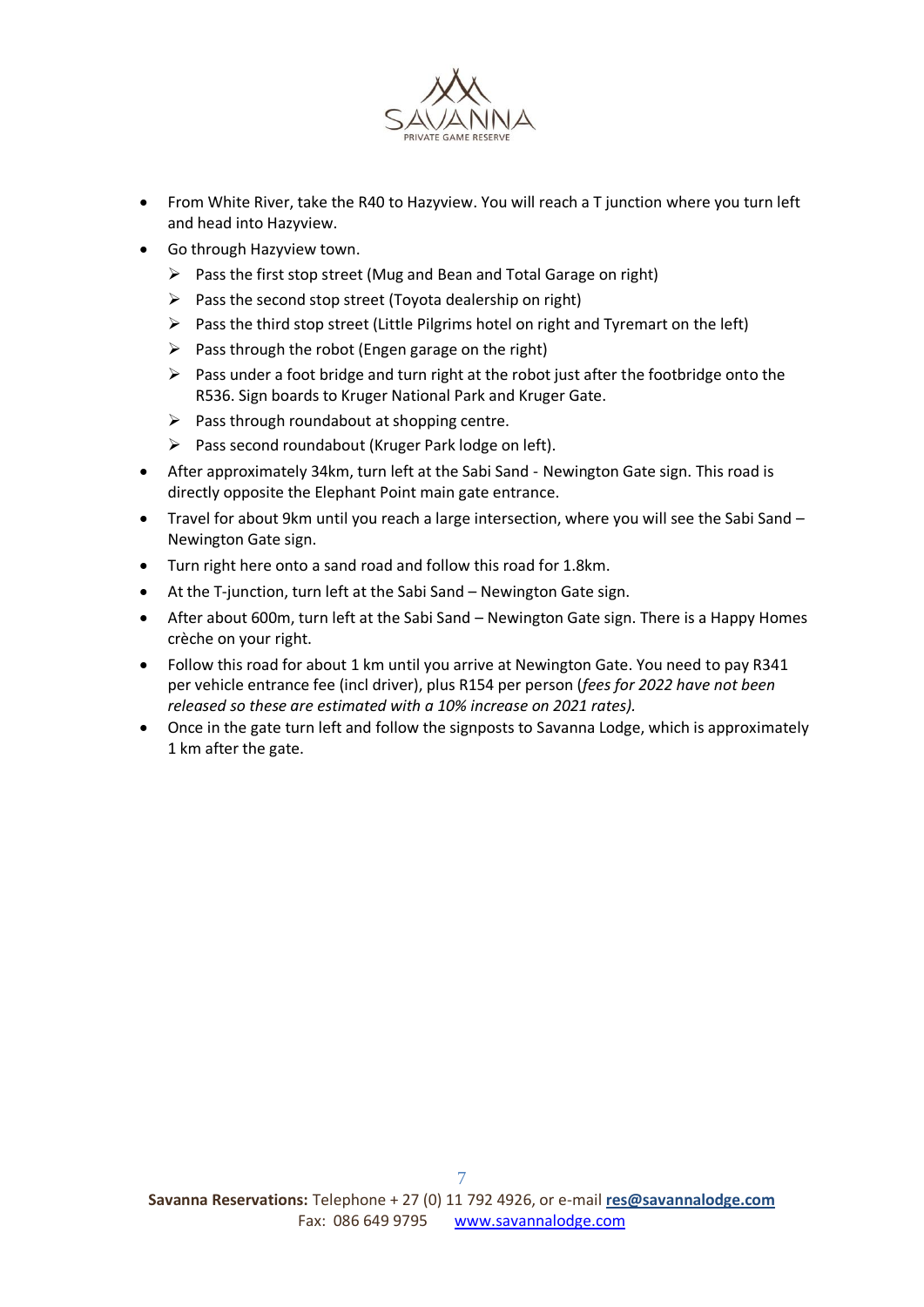

- From White River, take the R40 to Hazyview. You will reach a T junction where you turn left and head into Hazyview.
- Go through Hazyview town.
	- $\triangleright$  Pass the first stop street (Mug and Bean and Total Garage on right)
	- $\triangleright$  Pass the second stop street (Toyota dealership on right)
	- $\triangleright$  Pass the third stop street (Little Pilgrims hotel on right and Tyremart on the left)
	- $\triangleright$  Pass through the robot (Engen garage on the right)
	- $\triangleright$  Pass under a foot bridge and turn right at the robot just after the footbridge onto the R536. Sign boards to Kruger National Park and Kruger Gate.
	- $\triangleright$  Pass through roundabout at shopping centre.
	- $\triangleright$  Pass second roundabout (Kruger Park lodge on left).
- After approximately 34km, turn left at the Sabi Sand Newington Gate sign. This road is directly opposite the Elephant Point main gate entrance.
- Travel for about 9km until you reach a large intersection, where you will see the Sabi Sand Newington Gate sign.
- Turn right here onto a sand road and follow this road for 1.8km.
- At the T-junction, turn left at the Sabi Sand Newington Gate sign.
- After about 600m, turn left at the Sabi Sand Newington Gate sign. There is a Happy Homes crèche on your right.
- Follow this road for about 1 km until you arrive at Newington Gate. You need to pay R341 per vehicle entrance fee (incl driver), plus R154 per person (*fees for 2022 have not been released so these are estimated with a 10% increase on 2021 rates).*
- Once in the gate turn left and follow the signposts to Savanna Lodge, which is approximately 1 km after the gate.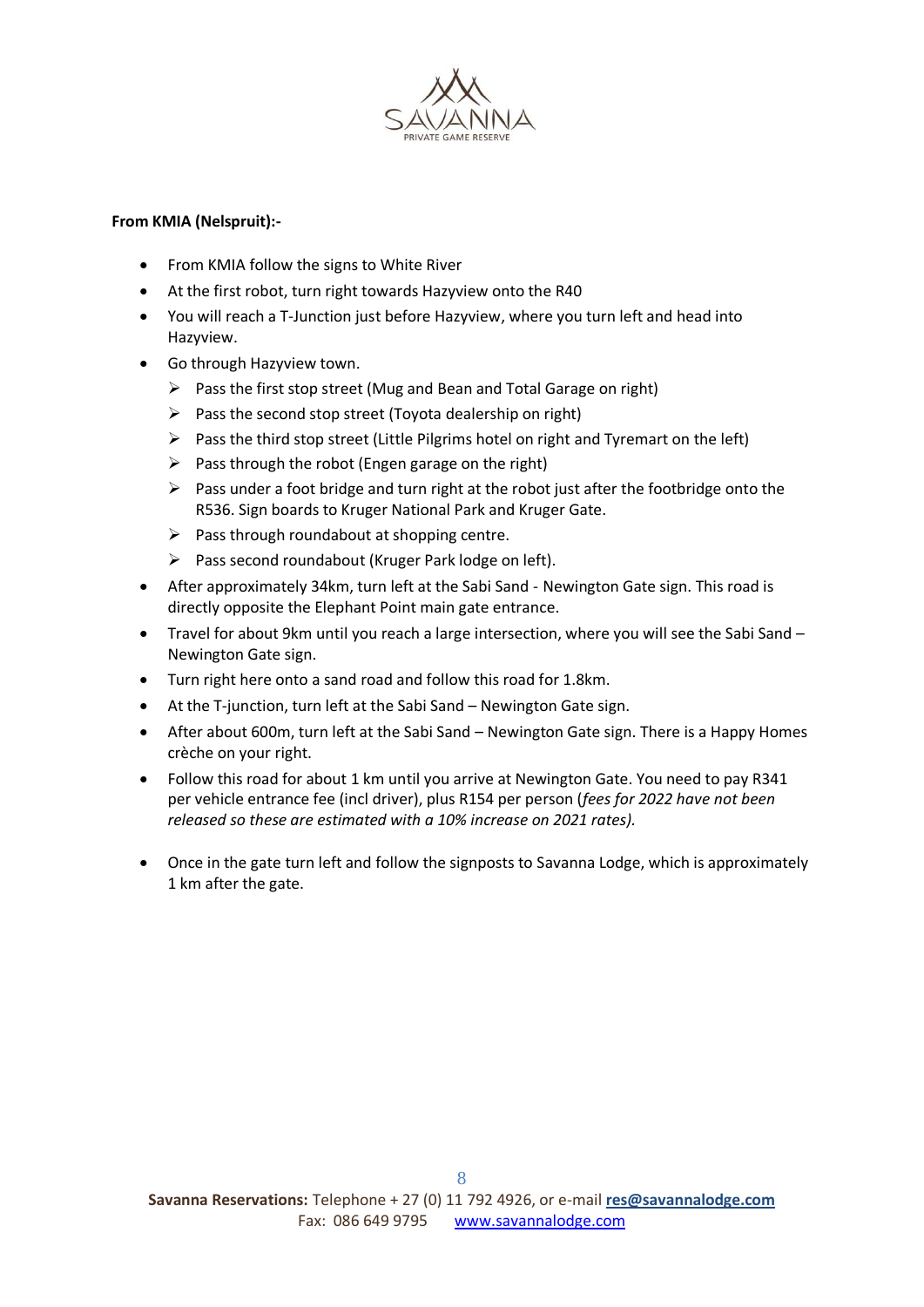

### **From KMIA (Nelspruit):-**

- From KMIA follow the signs to White River
- At the first robot, turn right towards Hazyview onto the R40
- You will reach a T-Junction just before Hazyview, where you turn left and head into Hazyview.
- Go through Hazyview town.
	- $\triangleright$  Pass the first stop street (Mug and Bean and Total Garage on right)
	- $\triangleright$  Pass the second stop street (Toyota dealership on right)
	- $\triangleright$  Pass the third stop street (Little Pilgrims hotel on right and Tyremart on the left)
	- $\triangleright$  Pass through the robot (Engen garage on the right)
	- $\triangleright$  Pass under a foot bridge and turn right at the robot just after the footbridge onto the R536. Sign boards to Kruger National Park and Kruger Gate.
	- $\triangleright$  Pass through roundabout at shopping centre.
	- $\triangleright$  Pass second roundabout (Kruger Park lodge on left).
- After approximately 34km, turn left at the Sabi Sand Newington Gate sign. This road is directly opposite the Elephant Point main gate entrance.
- Travel for about 9km until you reach a large intersection, where you will see the Sabi Sand Newington Gate sign.
- Turn right here onto a sand road and follow this road for 1.8km.
- At the T-junction, turn left at the Sabi Sand Newington Gate sign.
- After about 600m, turn left at the Sabi Sand Newington Gate sign. There is a Happy Homes crèche on your right.
- Follow this road for about 1 km until you arrive at Newington Gate. You need to pay R341 per vehicle entrance fee (incl driver), plus R154 per person (*fees for 2022 have not been released so these are estimated with a 10% increase on 2021 rates).*
- Once in the gate turn left and follow the signposts to Savanna Lodge, which is approximately 1 km after the gate.